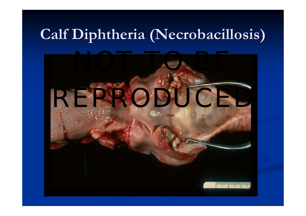# $\bf{C}$ alf  $\bf{D}$ iphtheria (Necrobacillosis)

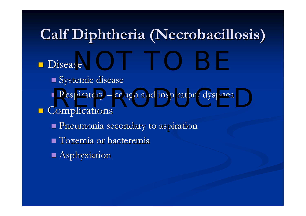# $\bf{C}$ alf  $\bf{D}$ iphtheria (Necrobacillosis)

#### $\blacksquare$  Disease  $se$

Systemic disease  $\blacksquare$  Respiratory  $\blacksquare$ Respiratory – cough and inspiratory dyspnea **Complications**  Pneumonia secondary to aspiration Pneumonia secondary to aspiration  $\blacksquare$  Toxemia or bacteremia **Asphyxiation**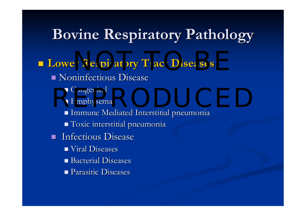#### **Bovine Respiratory Pathology Bovine Respiratory Pathology**

**Lower Respiratory Tract Diseases**  $\blacksquare$  Noninfectious Disease Congenital Congenital ■ Congenital<br>■ Emphysema  $\blacksquare$  Immune Mediated Interstitial pneumonia Toxic interstitial pneumonia Toxic interstitial pneumonia  $\mathbb{R}^2$ Infectious Disease  $\blacksquare$  Viral Diseases  $\blacksquare$  Bacterial Diseases **Parasitic Diseases**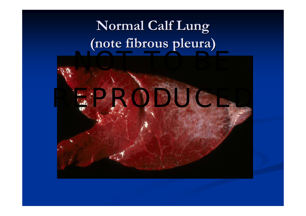## **Normal Calf Lung (note fibrous pleura) (note fibrous pleura)**

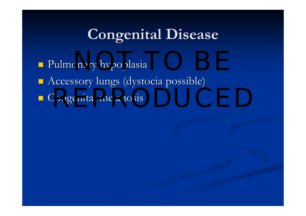## **Congenital Disease Congenital Disease**

nde Pulmonary hypoplasia **Accessory lungs (dystocia possible)** ■ Congenital melanosis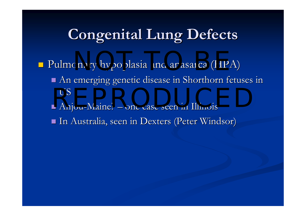## **Congenital Lung Defects Congenital Lung Defects**

- **Pulmonary hypoplasia and anasarca (HPA)** 
	- An emerging genetic disease in Shorthorn fetuses in An emerging genetic disease in Shorthorn fetuses in USUS<br>Aniou Maine? One case seen in Illinois
	- Anjou -Maine? one case seen in Illinois one case seen in Illinois
	- $\blacksquare$  In Australia, seen in Dexters (Peter Windsor)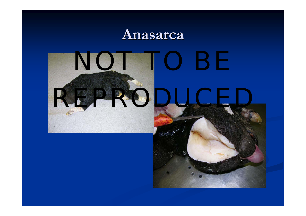#### **Anasarca Anasarca**



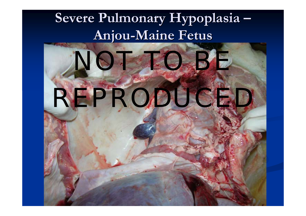#### **Severe Pulmonary Severe Pulmonary Hypoplasia Hypoplasia Anjou -Maine Fetus Maine Fetus**

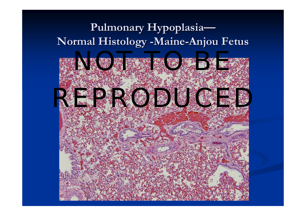#### Pulmonary Hypoplasia-**Normal Histology -Maine-Anjou Fetus**